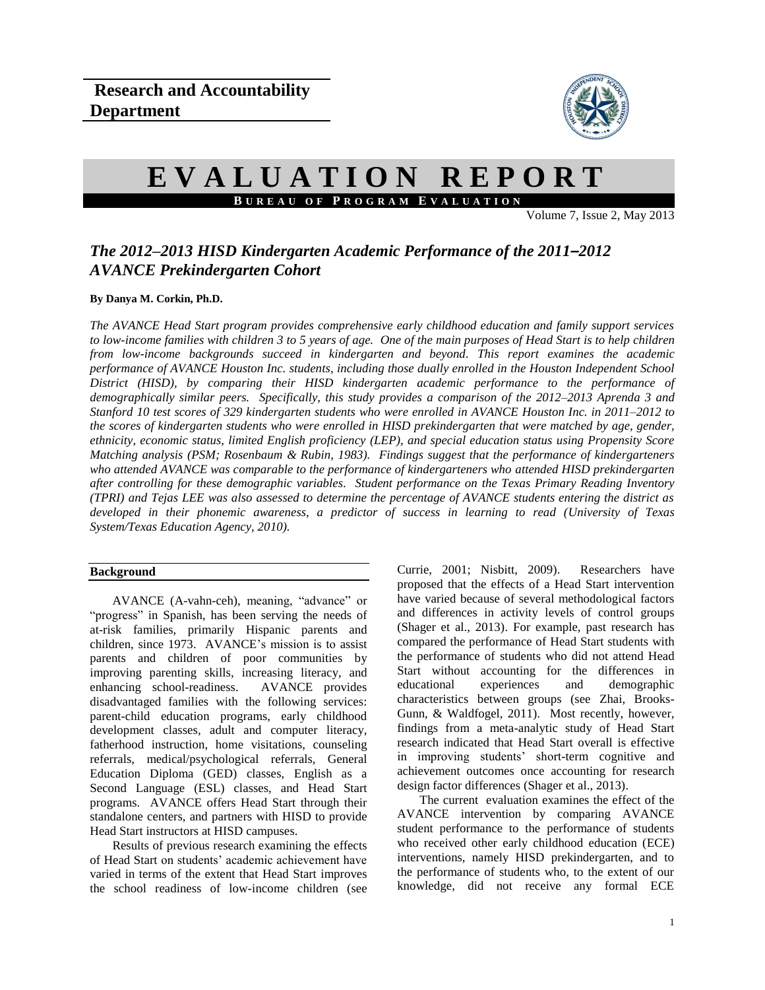

# **E V A L U A T I O N R E P O R T B U R E A U O F P R O G R A M E V A L U A T I O N**

Volume 7, Issue 2, May  $2013$ 

## *The 2012–2013 HISD Kindergarten Academic Performance of the 2011–2012 AVANCE Prekindergarten Cohort*

## **By Danya M. Corkin, Ph.D.**

*The AVANCE Head Start program provides comprehensive early childhood education and family support services to low-income families with children 3 to 5 years of age. One of the main purposes of Head Start is to help children from low-income backgrounds succeed in kindergarten and beyond. This report examines the academic performance of AVANCE Houston Inc. students, including those dually enrolled in the Houston Independent School District (HISD), by comparing their HISD kindergarten academic performance to the performance of demographically similar peers. Specifically, this study provides a comparison of the 2012–2013 Aprenda 3 and Stanford 10 test scores of 329 kindergarten students who were enrolled in AVANCE Houston Inc. in 2011–2012 to the scores of kindergarten students who were enrolled in HISD prekindergarten that were matched by age, gender, ethnicity, economic status, limited English proficiency (LEP), and special education status using Propensity Score Matching analysis (PSM; Rosenbaum & Rubin, 1983). Findings suggest that the performance of kindergarteners who attended AVANCE was comparable to the performance of kindergarteners who attended HISD prekindergarten after controlling for these demographic variables. Student performance on the Texas Primary Reading Inventory (TPRI) and Tejas LEE was also assessed to determine the percentage of AVANCE students entering the district as developed in their phonemic awareness, a predictor of success in learning to read (University of Texas System/Texas Education Agency, 2010).* 

## **Background**

AVANCE (A-vahn-ceh), meaning, "advance" or "progress" in Spanish, has been serving the needs of at-risk families, primarily Hispanic parents and children, since 1973. AVANCE's mission is to assist parents and children of poor communities by improving parenting skills, increasing literacy, and enhancing school-readiness. AVANCE provides disadvantaged families with the following services: parent-child education programs, early childhood development classes, adult and computer literacy, fatherhood instruction, home visitations, counseling referrals, medical/psychological referrals, General Education Diploma (GED) classes, English as a Second Language (ESL) classes, and Head Start programs. AVANCE offers Head Start through their standalone centers, and partners with HISD to provide Head Start instructors at HISD campuses.

Results of previous research examining the effects of Head Start on students' academic achievement have varied in terms of the extent that Head Start improves the school readiness of low-income children (see

Currie, 2001; Nisbitt, 2009). Researchers have proposed that the effects of a Head Start intervention have varied because of several methodological factors and differences in activity levels of control groups (Shager et al., 2013). For example, past research has compared the performance of Head Start students with the performance of students who did not attend Head Start without accounting for the differences in educational experiences and demographic characteristics between groups (see Zhai, Brooks-Gunn, & Waldfogel, 2011). Most recently, however, findings from a meta-analytic study of Head Start research indicated that Head Start overall is effective in improving students' short-term cognitive and achievement outcomes once accounting for research design factor differences (Shager et al., 2013).

The current evaluation examines the effect of the AVANCE intervention by comparing AVANCE student performance to the performance of students who received other early childhood education (ECE) interventions, namely HISD prekindergarten, and to the performance of students who, to the extent of our knowledge, did not receive any formal ECE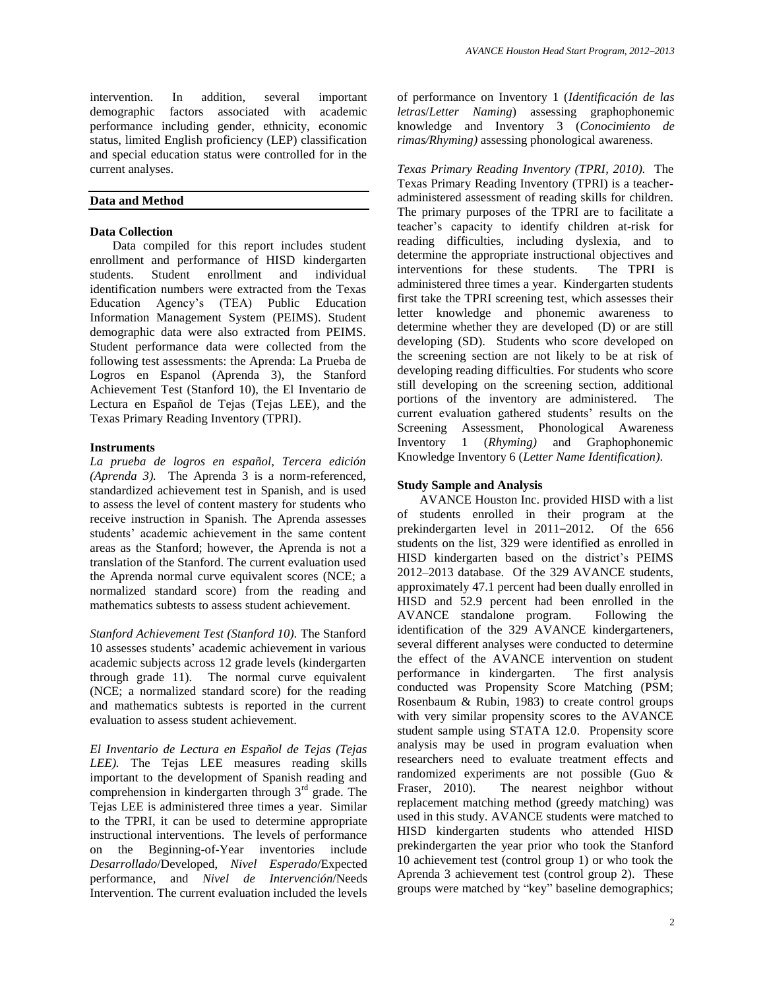intervention. In addition, several important demographic factors associated with academic performance including gender, ethnicity, economic status, limited English proficiency (LEP) classification and special education status were controlled for in the current analyses.

## **Data and Method**

### **Data Collection**

Data compiled for this report includes student enrollment and performance of HISD kindergarten students. Student enrollment and individual identification numbers were extracted from the Texas Education Agency's (TEA) Public Education Information Management System (PEIMS). Student demographic data were also extracted from PEIMS. Student performance data were collected from the following test assessments: the Aprenda: La Prueba de Logros en Espanol (Aprenda 3), the Stanford Achievement Test (Stanford 10), the El Inventario de Lectura en Español de Tejas (Tejas LEE), and the Texas Primary Reading Inventory (TPRI).

#### **Instruments**

*La prueba de logros en español, Tercera edición (Aprenda 3).*The Aprenda 3 is a norm-referenced, standardized achievement test in Spanish, and is used to assess the level of content mastery for students who receive instruction in Spanish. The Aprenda assesses students' academic achievement in the same content areas as the Stanford; however, the Aprenda is not a translation of the Stanford. The current evaluation used the Aprenda normal curve equivalent scores (NCE; a normalized standard score) from the reading and mathematics subtests to assess student achievement.

*Stanford Achievement Test (Stanford 10).* The Stanford 10 assesses students' academic achievement in various academic subjects across 12 grade levels (kindergarten through grade 11). The normal curve equivalent (NCE; a normalized standard score) for the reading and mathematics subtests is reported in the current evaluation to assess student achievement.

*El Inventario de Lectura en Español de Tejas (Tejas LEE).* The Tejas LEE measures reading skills important to the development of Spanish reading and comprehension in kindergarten through  $3<sup>rd</sup>$  grade. The Tejas LEE is administered three times a year. Similar to the TPRI, it can be used to determine appropriate instructional interventions. The levels of performance on the Beginning-of-Year inventories include *Desarrollado*/Developed, *Nivel Esperado*/Expected performance, and *Nivel de Intervención*/Needs Intervention. The current evaluation included the levels of performance on Inventory 1 (*Identificación de las letras*/*Letter Naming*) assessing graphophonemic knowledge and Inventory 3 (*Conocimiento de rimas/Rhyming)* assessing phonological awareness.

*Texas Primary Reading Inventory (TPRI, 2010).*The Texas Primary Reading Inventory (TPRI) is a teacheradministered assessment of reading skills for children. The primary purposes of the TPRI are to facilitate a teacher's capacity to identify children at-risk for reading difficulties, including dyslexia, and to determine the appropriate instructional objectives and interventions for these students. The TPRI is administered three times a year. Kindergarten students first take the TPRI screening test, which assesses their letter knowledge and phonemic awareness to determine whether they are developed (D) or are still developing (SD). Students who score developed on the screening section are not likely to be at risk of developing reading difficulties. For students who score still developing on the screening section, additional portions of the inventory are administered. The current evaluation gathered students' results on the Screening Assessment, Phonological Awareness Inventory 1 (*Rhyming)* and Graphophonemic Knowledge Inventory 6 (*Letter Name Identification)*.

## **Study Sample and Analysis**

AVANCE Houston Inc. provided HISD with a list of students enrolled in their program at the prekindergarten level in 2011–2012. Of the 656 students on the list, 329 were identified as enrolled in HISD kindergarten based on the district's PEIMS 2012–2013 database. Of the 329 AVANCE students, approximately 47.1 percent had been dually enrolled in HISD and 52.9 percent had been enrolled in the AVANCE standalone program. Following the AVANCE standalone program. identification of the 329 AVANCE kindergarteners, several different analyses were conducted to determine the effect of the AVANCE intervention on student performance in kindergarten. The first analysis conducted was Propensity Score Matching (PSM; Rosenbaum & Rubin, 1983) to create control groups with very similar propensity scores to the AVANCE student sample using STATA 12.0. Propensity score analysis may be used in program evaluation when researchers need to evaluate treatment effects and randomized experiments are not possible (Guo & Fraser, 2010). The nearest neighbor without replacement matching method (greedy matching) was used in this study. AVANCE students were matched to HISD kindergarten students who attended HISD prekindergarten the year prior who took the Stanford 10 achievement test (control group 1) or who took the Aprenda 3 achievement test (control group 2). These groups were matched by "key" baseline demographics;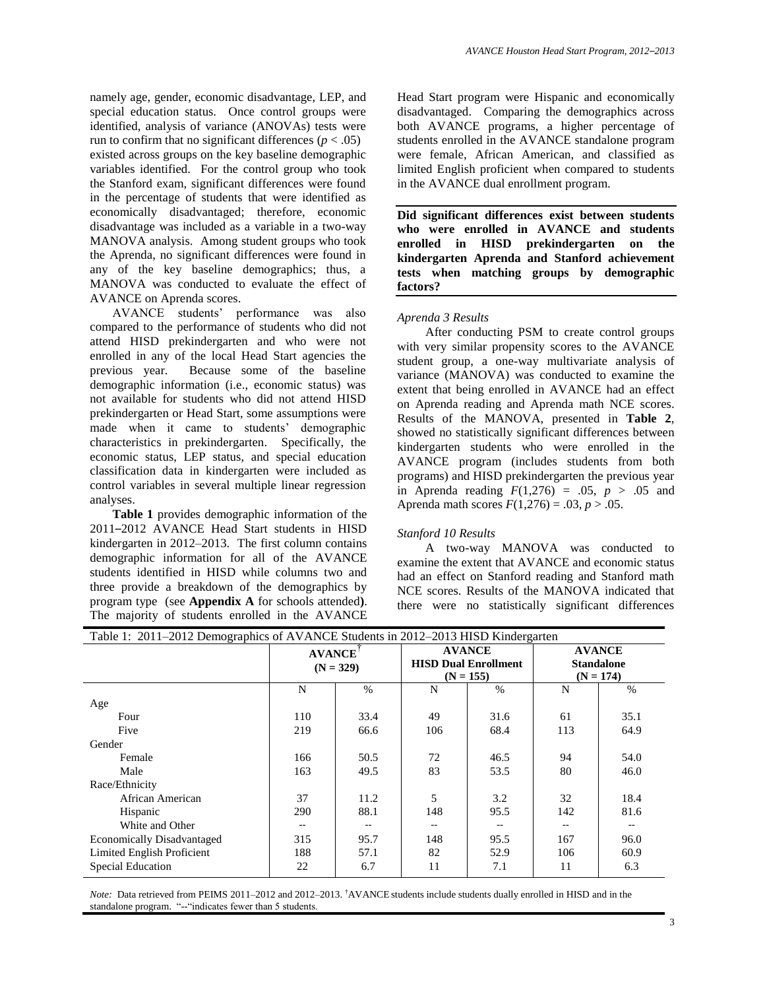namely age, gender, economic disadvantage, LEP, and special education status. Once control groups were identified, analysis of variance (ANOVAs) tests were run to confirm that no significant differences ( $p < .05$ ) existed across groups on the key baseline demographic variables identified. For the control group who took the Stanford exam, significant differences were found in the percentage of students that were identified as economically disadvantaged; therefore, economic disadvantage was included as a variable in a two-way MANOVA analysis. Among student groups who took the Aprenda, no significant differences were found in any of the key baseline demographics; thus, a MANOVA was conducted to evaluate the effect of AVANCE on Aprenda scores.

AVANCE students' performance was also compared to the performance of students who did not attend HISD prekindergarten and who were not enrolled in any of the local Head Start agencies the previous year. Because some of the baseline demographic information (i.e., economic status) was not available for students who did not attend HISD prekindergarten or Head Start, some assumptions were made when it came to students' demographic characteristics in prekindergarten. Specifically, the economic status, LEP status, and special education classification data in kindergarten were included as control variables in several multiple linear regression analyses.

**Table 1** provides demographic information of the 2011–2012 AVANCE Head Start students in HISD kindergarten in 2012–2013. The first column contains demographic information for all of the AVANCE students identified in HISD while columns two and three provide a breakdown of the demographics by program type (see **Appendix A** for schools attended**)**. The majority of students enrolled in the AVANCE Head Start program were Hispanic and economically disadvantaged. Comparing the demographics across both AVANCE programs, a higher percentage of students enrolled in the AVANCE standalone program were female, African American, and classified as limited English proficient when compared to students in the AVANCE dual enrollment program.

**Did significant differences exist between students who were enrolled in AVANCE and students enrolled in HISD prekindergarten on the kindergarten Aprenda and Stanford achievement tests when matching groups by demographic factors?**

#### *Aprenda 3 Results*

After conducting PSM to create control groups with very similar propensity scores to the AVANCE student group, a one-way multivariate analysis of variance (MANOVA) was conducted to examine the extent that being enrolled in AVANCE had an effect on Aprenda reading and Aprenda math NCE scores. Results of the MANOVA, presented in **Table 2**, showed no statistically significant differences between kindergarten students who were enrolled in the AVANCE program (includes students from both programs) and HISD prekindergarten the previous year in Aprenda reading  $F(1,276) = .05$ ,  $p > .05$  and Aprenda math scores  $F(1,276) = .03, p > .05$ .

#### *Stanford 10 Results*

A two-way MANOVA was conducted to examine the extent that AVANCE and economic status had an effect on Stanford reading and Stanford math NCE scores. Results of the MANOVA indicated that there were no statistically significant differences

| Table 1: 2011–2012 Demographics of AVANCE Students in 2012–2013 HISD Kindergarten |                              |      |           |                                                             |                                                   |      |
|-----------------------------------------------------------------------------------|------------------------------|------|-----------|-------------------------------------------------------------|---------------------------------------------------|------|
|                                                                                   | <b>AVANCE</b><br>$(N = 329)$ |      |           | <b>AVANCE</b><br><b>HISD Dual Enrollment</b><br>$(N = 155)$ | <b>AVANCE</b><br><b>Standalone</b><br>$(N = 174)$ |      |
|                                                                                   | N                            | %    | $\%$<br>N |                                                             | N                                                 | $\%$ |
| Age                                                                               |                              |      |           |                                                             |                                                   |      |
| Four                                                                              | 110                          | 33.4 | 49        | 31.6                                                        | 61                                                | 35.1 |
| Five                                                                              | 219                          | 66.6 | 106       | 68.4                                                        | 113                                               | 64.9 |
| Gender                                                                            |                              |      |           |                                                             |                                                   |      |
| Female                                                                            | 166                          | 50.5 | 72        | 46.5                                                        | 94                                                | 54.0 |
| Male                                                                              | 163                          | 49.5 | 83        | 53.5                                                        | 80                                                | 46.0 |
| Race/Ethnicity                                                                    |                              |      |           |                                                             |                                                   |      |
| African American                                                                  | 37                           | 11.2 | 5         | 3.2                                                         | 32                                                | 18.4 |
| Hispanic                                                                          | 290                          | 88.1 | 148       | 95.5                                                        | 142                                               | 81.6 |
| White and Other                                                                   |                              |      |           |                                                             |                                                   |      |
| <b>Economically Disadvantaged</b>                                                 | 315                          | 95.7 | 148       | 95.5                                                        | 167                                               | 96.0 |
| Limited English Proficient                                                        | 188                          | 57.1 | 82        | 52.9                                                        | 106                                               | 60.9 |
| Special Education                                                                 | 22                           | 6.7  | 11        | 7.1                                                         | 11                                                | 6.3  |

*Note:* Data retrieved from PEIMS 2011–2012 and 2012–2013. †AVANCE students include students dually enrolled in HISD and in the standalone program. "--"indicates fewer than 5 students.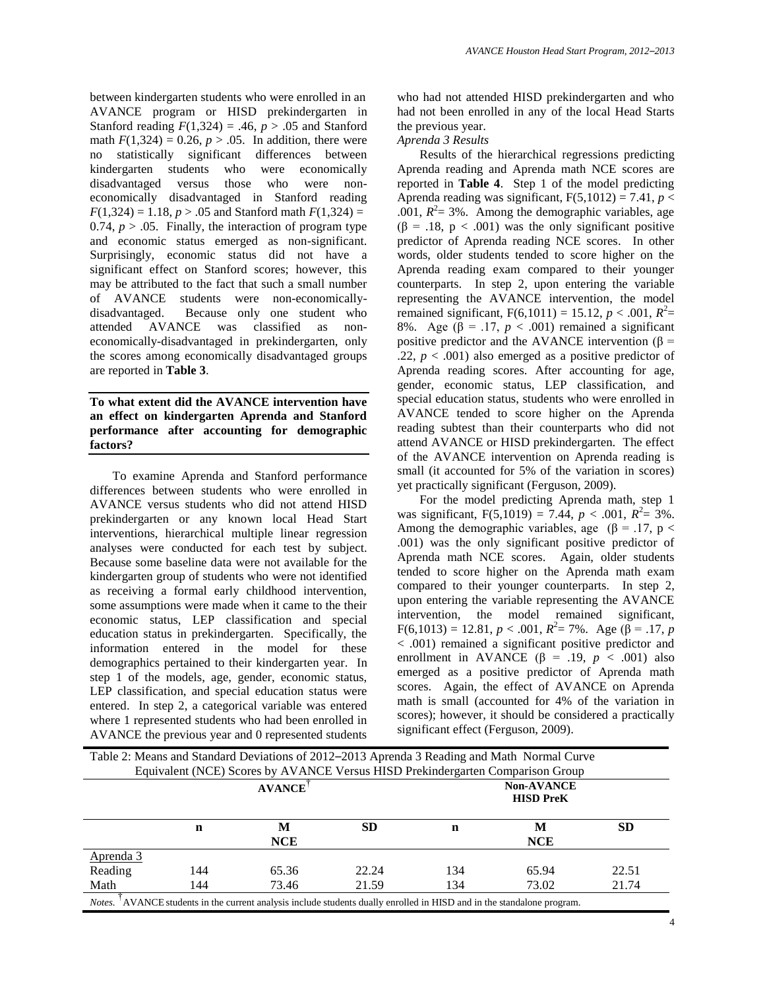between kindergarten students who were enrolled in an AVANCE program or HISD prekindergarten in Stanford reading  $F(1,324) = .46$ ,  $p > .05$  and Stanford math  $F(1,324) = 0.26$ ,  $p > .05$ . In addition, there were no statistically significant differences between kindergarten students who were economically disadvantaged versus those who were noneconomically disadvantaged in Stanford reading  $F(1,324) = 1.18, p > .05$  and Stanford math  $F(1,324) =$ 0.74,  $p > 0.05$ . Finally, the interaction of program type and economic status emerged as non-significant. Surprisingly, economic status did not have a significant effect on Stanford scores; however, this may be attributed to the fact that such a small number of AVANCE students were non-economicallydisadvantaged. Because only one student who attended AVANCE was classified as noneconomically-disadvantaged in prekindergarten, only the scores among economically disadvantaged groups are reported in **Table 3**.

## **To what extent did the AVANCE intervention have an effect on kindergarten Aprenda and Stanford performance after accounting for demographic factors?**

To examine Aprenda and Stanford performance differences between students who were enrolled in AVANCE versus students who did not attend HISD prekindergarten or any known local Head Start interventions, hierarchical multiple linear regression analyses were conducted for each test by subject. Because some baseline data were not available for the kindergarten group of students who were not identified as receiving a formal early childhood intervention, some assumptions were made when it came to the their economic status, LEP classification and special education status in prekindergarten. Specifically, the information entered in the model for these demographics pertained to their kindergarten year. In step 1 of the models, age, gender, economic status, LEP classification, and special education status were entered. In step 2, a categorical variable was entered where 1 represented students who had been enrolled in AVANCE the previous year and 0 represented students

who had not attended HISD prekindergarten and who had not been enrolled in any of the local Head Starts the previous year.

## *Aprenda 3 Results*

Results of the hierarchical regressions predicting Aprenda reading and Aprenda math NCE scores are reported in **Table 4**. Step 1 of the model predicting Aprenda reading was significant,  $F(5,1012) = 7.41$ ,  $p <$ .001,  $R^2 = 3\%$ . Among the demographic variables, age (β = .18, p < .001) was the only significant positive predictor of Aprenda reading NCE scores. In other words, older students tended to score higher on the Aprenda reading exam compared to their younger counterparts. In step 2, upon entering the variable representing the AVANCE intervention, the model remained significant,  $F(6,1011) = 15.12, p < .001, R^2 =$ 8%. Age ( $\beta$  = .17, *p* < .001) remained a significant positive predictor and the AVANCE intervention ( $\beta$  = .22,  $p < .001$ ) also emerged as a positive predictor of Aprenda reading scores. After accounting for age, gender, economic status, LEP classification, and special education status, students who were enrolled in AVANCE tended to score higher on the Aprenda reading subtest than their counterparts who did not attend AVANCE or HISD prekindergarten. The effect of the AVANCE intervention on Aprenda reading is small (it accounted for 5% of the variation in scores) yet practically significant (Ferguson, 2009).

For the model predicting Aprenda math, step 1 was significant,  $F(5,1019) = 7.44$ ,  $p < .001$ ,  $R^2 = 3\%$ . Among the demographic variables, age ( $\beta$  = .17, p < .001) was the only significant positive predictor of Aprenda math NCE scores. Again, older students tended to score higher on the Aprenda math exam compared to their younger counterparts. In step 2, upon entering the variable representing the AVANCE intervention, the model remained significant,  $F(6,1013) = 12.81, p < .001, R^2 = 7\%$ . Age ( $\beta = .17, p$ < .001) remained a significant positive predictor and enrollment in AVANCE ( $\beta$  = .19, *p* < .001) also emerged as a positive predictor of Aprenda math scores. Again, the effect of AVANCE on Aprenda math is small (accounted for 4% of the variation in scores); however, it should be considered a practically significant effect (Ferguson, 2009).

|           |                                                                                                                 | Table 2: Means and Standard Deviations of 2012–2013 Aprenda 3 Reading and Math Normal Curve<br>Equivalent (NCE) Scores by AVANCE Versus HISD Prekindergarten Comparison Group |           |     |                                       |       |
|-----------|-----------------------------------------------------------------------------------------------------------------|-------------------------------------------------------------------------------------------------------------------------------------------------------------------------------|-----------|-----|---------------------------------------|-------|
|           |                                                                                                                 | <b>AVANCE</b>                                                                                                                                                                 |           |     | <b>Non-AVANCE</b><br><b>HISD PreK</b> |       |
|           | n                                                                                                               | M<br><b>NCE</b>                                                                                                                                                               | <b>SD</b> | n   | M<br><b>NCE</b>                       | SD    |
| Aprenda 3 |                                                                                                                 |                                                                                                                                                                               |           |     |                                       |       |
| Reading   | 144                                                                                                             | 65.36                                                                                                                                                                         | 22.24     | 134 | 65.94                                 | 22.51 |
| Math      | 144                                                                                                             | 73.46                                                                                                                                                                         | 21.59     | 134 | 73.02                                 | 21.74 |
| Notes.    | AVANCE students in the current analysis include students dually enrolled in HISD and in the standalone program. |                                                                                                                                                                               |           |     |                                       |       |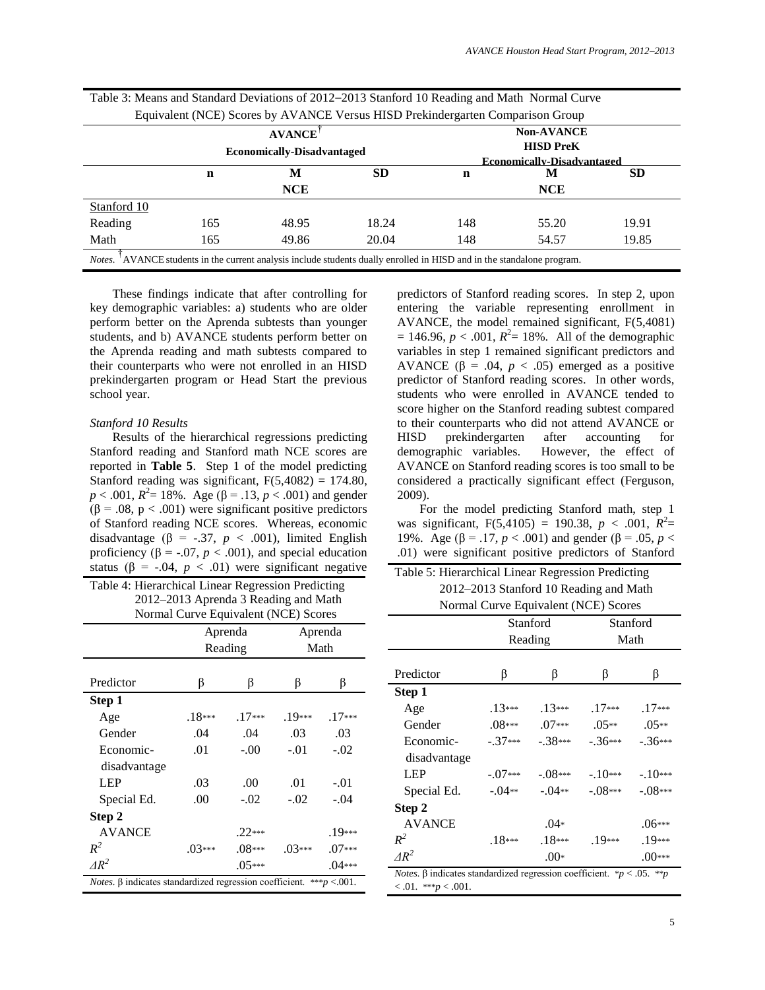|             |     | <b>AVANCE</b><br><b>Economically-Disadvantaged</b> | Equivalent (NCE) Scores by AVANCE Versus HISD Prekindergarten Comparison Group                                  |     | <b>Non-AVANCE</b><br><b>HISD PreK</b><br><b>Economically-Disadvantaged</b> |           |
|-------------|-----|----------------------------------------------------|-----------------------------------------------------------------------------------------------------------------|-----|----------------------------------------------------------------------------|-----------|
|             | n   | M<br><b>NCE</b>                                    | SD.                                                                                                             | n   | M<br><b>NCE</b>                                                            | <b>SD</b> |
| Stanford 10 |     |                                                    |                                                                                                                 |     |                                                                            |           |
| Reading     | 165 | 48.95                                              | 18.24                                                                                                           | 148 | 55.20                                                                      | 19.91     |
| Math        | 165 | 49.86                                              | 20.04                                                                                                           | 148 | 54.57                                                                      | 19.85     |
| Notes.      |     |                                                    | AVANCE students in the current analysis include students dually enrolled in HISD and in the standalone program. |     |                                                                            |           |

Table 3: Means and Standard Deviations of 2012–2013 Stanford 10 Reading and Math Normal Curve

These findings indicate that after controlling for key demographic variables: a) students who are older perform better on the Aprenda subtests than younger students, and b) AVANCE students perform better on the Aprenda reading and math subtests compared to their counterparts who were not enrolled in an HISD prekindergarten program or Head Start the previous school year.

#### *Stanford 10 Results*

Results of the hierarchical regressions predicting Stanford reading and Stanford math NCE scores are reported in **Table 5**. Step 1 of the model predicting Stanford reading was significant,  $F(5,4082) = 174.80$ ,  $p < .001$ ,  $R^2 = 18\%$ . Age ( $\beta = .13$ ,  $p < .001$ ) and gender (β = .08, p < .001) were significant positive predictors of Stanford reading NCE scores. Whereas, economic disadvantage ( $\beta$  = -.37, *p* < .001), limited English proficiency ( $\beta$  = -.07, *p* < .001), and special education status ( $\beta$  = -.04,  $p < .01$ ) were significant negative

Table 4: Hierarchical Linear Regression Predicting 2012–2013 Aprenda 3 Reading and Math Normal Curve Equivalent (NCE) Scores

|                                                                                  | Aprenda  |          | Aprenda  |          |  |
|----------------------------------------------------------------------------------|----------|----------|----------|----------|--|
|                                                                                  | Reading  |          | Math     |          |  |
|                                                                                  |          |          |          |          |  |
| Predictor                                                                        | β        | β        | β        | β        |  |
| Step 1                                                                           |          |          |          |          |  |
| Age                                                                              | $.18***$ | $.17***$ | $.19***$ | $.17***$ |  |
| Gender                                                                           | .04      | .04      | .03      | .03      |  |
| Economic-                                                                        | .01      | $-.00$   | $-.01$   | $-.02$   |  |
| disadvantage                                                                     |          |          |          |          |  |
| LEP                                                                              | .03      | .00      | .01      | $-.01$   |  |
| Special Ed.                                                                      | .00      | $-.02$   | $-.02$   | $-.04$   |  |
| Step 2                                                                           |          |          |          |          |  |
| <b>AVANCE</b>                                                                    |          | $.22***$ |          | $.19***$ |  |
| $R^2$                                                                            | $.03***$ | $.08***$ | $.03***$ | $.07***$ |  |
| $\Delta R^2$                                                                     |          | $.05***$ |          | $.04***$ |  |
| <i>Notes.</i> $\beta$ indicates standardized regression coefficient. ***p <.001. |          |          |          |          |  |

predictors of Stanford reading scores. In step 2, upon entering the variable representing enrollment in AVANCE, the model remained significant, F(5,4081)  $= 146.96, p < .001, R^2 = 18\%$ . All of the demographic variables in step 1 remained significant predictors and AVANCE  $(\beta = .04, p < .05)$  emerged as a positive predictor of Stanford reading scores. In other words, students who were enrolled in AVANCE tended to score higher on the Stanford reading subtest compared to their counterparts who did not attend AVANCE or HISD prekindergarten after accounting for demographic variables. However, the effect of AVANCE on Stanford reading scores is too small to be considered a practically significant effect (Ferguson, 2009).

For the model predicting Stanford math, step 1 was significant,  $F(5,4105) = 190.38, p < .001, R^2 =$ 19%. Age (β = .17, *p* < .001) and gender (β = .05, *p* < .01) were significant positive predictors of Stanford

| Table 5: Hierarchical Linear Regression Predicting |
|----------------------------------------------------|
| 2012–2013 Stanford 10 Reading and Math             |
| Normal Curve Equivalent (NCE) Scores               |

|                                                                                    |           | Stanford |           | Stanford  |  |
|------------------------------------------------------------------------------------|-----------|----------|-----------|-----------|--|
|                                                                                    | Reading   |          | Math      |           |  |
|                                                                                    |           |          |           |           |  |
| Predictor                                                                          | β         | β        | β         | β         |  |
| Step 1                                                                             |           |          |           |           |  |
| Age                                                                                | $.13***$  | $.13***$ | $.17***$  | $.17***$  |  |
| Gender                                                                             | $.08***$  | $.07***$ | $.05**$   | $.05**$   |  |
| Economic-                                                                          | $-.37***$ | $-38***$ | $-.36***$ | $-.36***$ |  |
| disadvantage                                                                       |           |          |           |           |  |
| LEP                                                                                | $-.07***$ | $-08***$ | $-10***$  | $-.10***$ |  |
| Special Ed.                                                                        | $-04**$   | $-.04**$ | $-.08***$ | $-.08***$ |  |
| Step 2                                                                             |           |          |           |           |  |
| <b>AVANCE</b>                                                                      |           | $.04*$   |           | .06***    |  |
| $R^2$                                                                              | $.18***$  | $.18***$ | $.19***$  | $.19***$  |  |
| $AR^2$                                                                             |           | $.00*$   |           | $.00***$  |  |
| <i>Notes.</i> $\beta$ indicates standardized regression coefficient. *p < .05. **p |           |          |           |           |  |
| $0.01.$ ***p $0.001.$                                                              |           |          |           |           |  |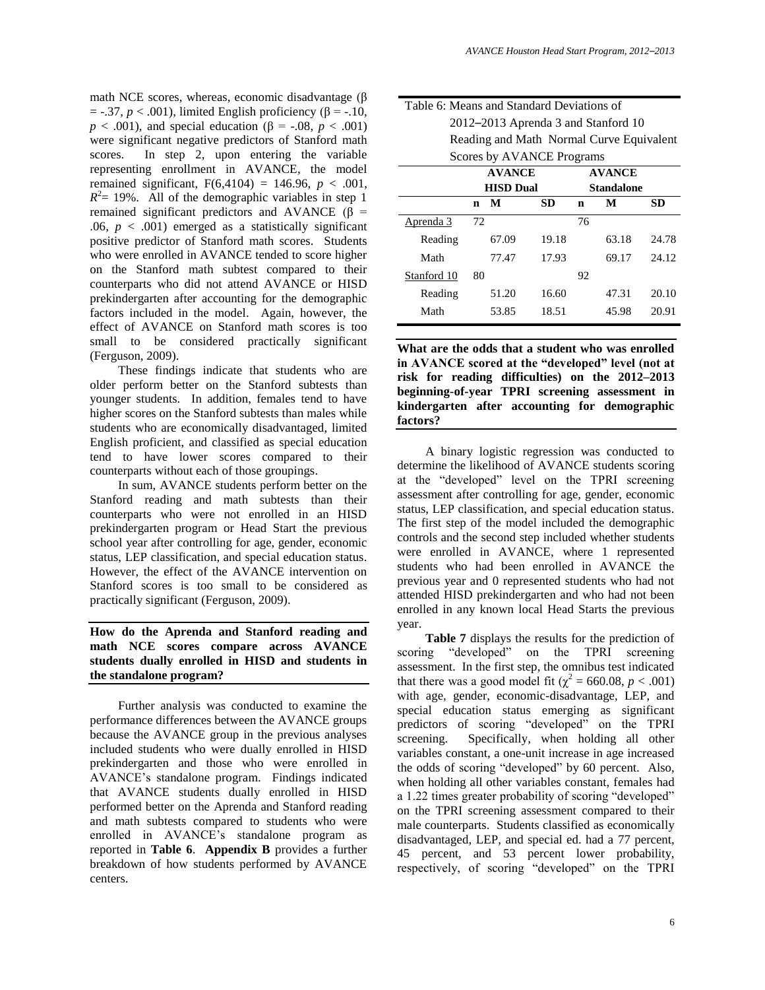math NCE scores, whereas, economic disadvantage  $(\beta)$  $=$  -.37,  $p < .001$ ), limited English proficiency ( $\beta$  = -.10, *p* < .001), and special education (β = -.08, *p* < .001) were significant negative predictors of Stanford math scores. In step 2, upon entering the variable representing enrollment in AVANCE, the model remained significant,  $F(6,4104) = 146.96$ ,  $p < .001$ ,  $R^2$  = 19%. All of the demographic variables in step 1 remained significant predictors and AVANCE ( $β$  = .06,  $p < .001$ ) emerged as a statistically significant positive predictor of Stanford math scores. Students who were enrolled in AVANCE tended to score higher on the Stanford math subtest compared to their counterparts who did not attend AVANCE or HISD prekindergarten after accounting for the demographic factors included in the model. Again, however, the effect of AVANCE on Stanford math scores is too small to be considered practically significant (Ferguson, 2009).

These findings indicate that students who are older perform better on the Stanford subtests than younger students. In addition, females tend to have higher scores on the Stanford subtests than males while students who are economically disadvantaged, limited English proficient, and classified as special education tend to have lower scores compared to their counterparts without each of those groupings.

In sum, AVANCE students perform better on the Stanford reading and math subtests than their counterparts who were not enrolled in an HISD prekindergarten program or Head Start the previous school year after controlling for age, gender, economic status, LEP classification, and special education status. However, the effect of the AVANCE intervention on Stanford scores is too small to be considered as practically significant (Ferguson, 2009).

## **How do the Aprenda and Stanford reading and math NCE scores compare across AVANCE students dually enrolled in HISD and students in the standalone program?**

Further analysis was conducted to examine the performance differences between the AVANCE groups because the AVANCE group in the previous analyses included students who were dually enrolled in HISD prekindergarten and those who were enrolled in AVANCE's standalone program. Findings indicated that AVANCE students dually enrolled in HISD performed better on the Aprenda and Stanford reading and math subtests compared to students who were enrolled in AVANCE's standalone program as reported in **Table 6**. **Appendix B** provides a further breakdown of how students performed by AVANCE centers.

| Table 6: Means and Standard Deviations of |  |
|-------------------------------------------|--|
| 2012–2013 Aprenda 3 and Stanford 10       |  |
| Reading and Math Normal Curve Equivalent  |  |
| Scores by AVANCE Programs                 |  |
| A VZA NIZVID                              |  |

|             | <b>AVANCE</b> |                  |           | <b>AVANCE</b> |            |       |
|-------------|---------------|------------------|-----------|---------------|------------|-------|
|             |               | <b>HISD Dual</b> |           |               | Standalone |       |
|             | n             | M                | <b>SD</b> | n             | М          | SD    |
| Aprenda 3   | 72            |                  |           | 76            |            |       |
| Reading     |               | 67.09            | 19.18     |               | 63.18      | 24.78 |
| Math        |               | 77.47            | 17.93     |               | 69.17      | 24.12 |
| Stanford 10 | 80            |                  |           | 92            |            |       |
| Reading     |               | 51.20            | 16.60     |               | 47.31      | 20.10 |
| Math        |               | 53.85            | 18.51     |               | 45.98      | 20.91 |

**What are the odds that a student who was enrolled in AVANCE scored at the "developed" level (not at risk for reading difficulties) on the 2012–2013 beginning-of-year TPRI screening assessment in kindergarten after accounting for demographic factors?**

A binary logistic regression was conducted to determine the likelihood of AVANCE students scoring at the "developed" level on the TPRI screening assessment after controlling for age, gender, economic status, LEP classification, and special education status. The first step of the model included the demographic controls and the second step included whether students were enrolled in AVANCE, where 1 represented students who had been enrolled in AVANCE the previous year and 0 represented students who had not attended HISD prekindergarten and who had not been enrolled in any known local Head Starts the previous year.

**Table 7** displays the results for the prediction of scoring "developed" on the TPRI screening assessment. In the first step, the omnibus test indicated that there was a good model fit ( $\chi^2$  = 660.08, *p* < .001) with age, gender, economic-disadvantage, LEP, and special education status emerging as significant predictors of scoring "developed" on the TPRI screening. Specifically, when holding all other variables constant, a one-unit increase in age increased the odds of scoring "developed" by 60 percent. Also, when holding all other variables constant, females had a 1.22 times greater probability of scoring "developed" on the TPRI screening assessment compared to their male counterparts. Students classified as economically disadvantaged, LEP, and special ed. had a 77 percent, 45 percent, and 53 percent lower probability, respectively, of scoring "developed" on the TPRI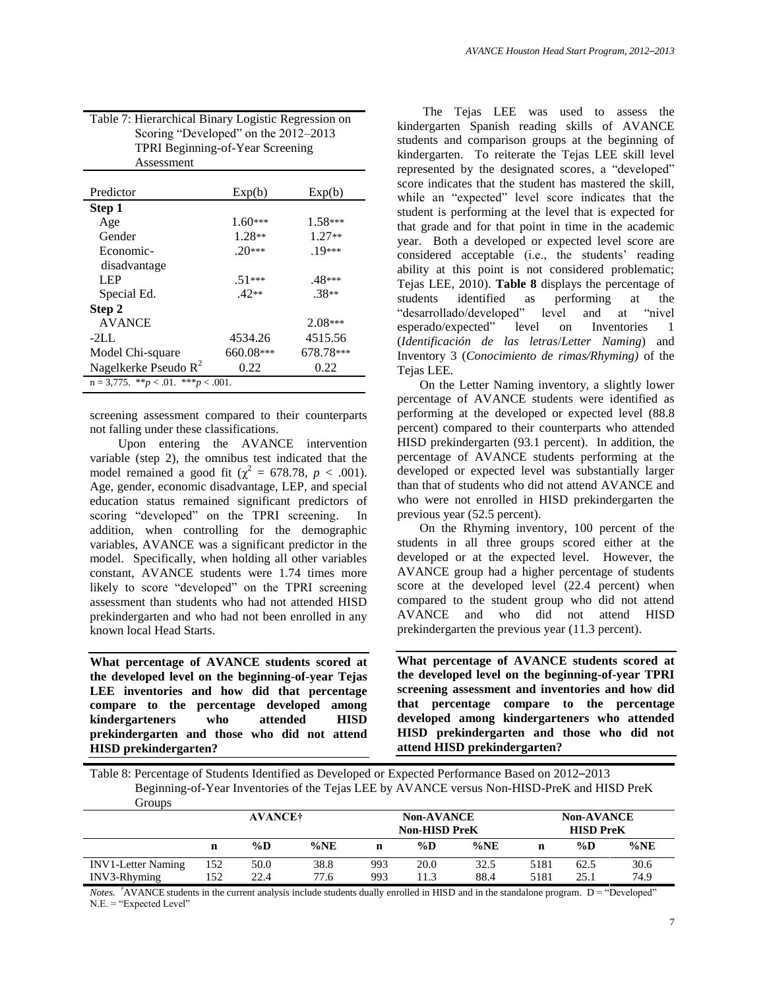| Table 7: Hierarchical Binary Logistic Regression on |
|-----------------------------------------------------|
| Scoring "Developed" on the 2012–2013                |
| <b>TPRI</b> Beginning-of-Year Screening             |
| Assessment                                          |

| Predictor                                     | Exp(b)    | Exp(b)    |
|-----------------------------------------------|-----------|-----------|
| Step 1                                        |           |           |
| Age                                           | $1.60***$ | $1.58***$ |
| Gender                                        | $1.28**$  | $1.27**$  |
| Economic-                                     | $.20***$  | $19***$   |
| disadvantage                                  |           |           |
| LEP <sub></sub>                               | $.51***$  | .48***    |
| Special Ed.                                   | $42**$    | $.38**$   |
| Step 2                                        |           |           |
| <b>AVANCE</b>                                 |           | $2.08***$ |
| $-2L$ .                                       | 4534.26   | 4515.56   |
| Model Chi-square                              | 660.08*** | 678.78*** |
| Nagelkerke Pseudo $R^2$                       | 0.22      | 0.22      |
| $n = 3,775$ . ** $p < .01$ . *** $p < .001$ . |           |           |

screening assessment compared to their counterparts not falling under these classifications.

Upon entering the AVANCE intervention variable (step 2), the omnibus test indicated that the model remained a good fit ( $\chi^2 = 678.78$ ,  $p < .001$ ). Age, gender, economic disadvantage, LEP, and special education status remained significant predictors of scoring "developed" on the TPRI screening. In addition, when controlling for the demographic variables, AVANCE was a significant predictor in the model. Specifically, when holding all other variables constant, AVANCE students were 1.74 times more likely to score "developed" on the TPRI screening assessment than students who had not attended HISD prekindergarten and who had not been enrolled in any known local Head Starts.

**What percentage of AVANCE students scored at the developed level on the beginning-of-year Tejas LEE inventories and how did that percentage compare to the percentage developed among kindergarteners who attended HISD prekindergarten and those who did not attend HISD prekindergarten?**

The Tejas LEE was used to assess the kindergarten Spanish reading skills of AVANCE students and comparison groups at the beginning of kindergarten. To reiterate the Tejas LEE skill level represented by the designated scores, a "developed" score indicates that the student has mastered the skill, while an "expected" level score indicates that the student is performing at the level that is expected for that grade and for that point in time in the academic year. Both a developed or expected level score are considered acceptable (i.e., the students' reading ability at this point is not considered problematic; Tejas LEE, 2010). **Table 8** displays the percentage of students identified as performing at the "desarrollado/developed" level and at "nivel esperado/expected" level on Inventories 1 (*Identificación de las letras*/*Letter Naming*) and Inventory 3 (*Conocimiento de rimas/Rhyming)* of the Tejas LEE.

On the Letter Naming inventory, a slightly lower percentage of AVANCE students were identified as performing at the developed or expected level (88.8 percent) compared to their counterparts who attended HISD prekindergarten (93.1 percent). In addition, the percentage of AVANCE students performing at the developed or expected level was substantially larger than that of students who did not attend AVANCE and who were not enrolled in HISD prekindergarten the previous year (52.5 percent).

On the Rhyming inventory, 100 percent of the students in all three groups scored either at the developed or at the expected level. However, the AVANCE group had a higher percentage of students score at the developed level (22.4 percent) when compared to the student group who did not attend AVANCE and who did not attend HISD prekindergarten the previous year (11.3 percent).

**What percentage of AVANCE students scored at the developed level on the beginning-of-year TPRI screening assessment and inventories and how did that percentage compare to the percentage developed among kindergarteners who attended HISD prekindergarten and those who did not attend HISD prekindergarten?**

Table 8: Percentage of Students Identified as Developed or Expected Performance Based on 2012–2013 Beginning-of-Year Inventories of the Tejas LEE by AVANCE versus Non-HISD-PreK and HISD PreK Groups

|                           | <b>AVANCE†</b> |       |         | <b>Non-AVANCE</b><br><b>Non-HISD PreK</b> |      |         | <b>Non-AVANCE</b><br><b>HISD PreK</b> |       |         |
|---------------------------|----------------|-------|---------|-------------------------------------------|------|---------|---------------------------------------|-------|---------|
|                           | n              | $\%D$ | $\%$ NE |                                           | %D   | $\%$ NE | n                                     | $\%D$ | $\%$ NE |
| <b>INV1-Letter Naming</b> | 152            | 50.0  | 38.8    | 993                                       | 20.0 | 32.5    | 5181                                  | 62.5  | 30.6    |
| INV3-Rhyming              | l 52           | 22.4  | 77.6    | 993                                       | .1.3 | 88.4    | 5181                                  | 25.1  | 74.9    |

*Notes.* <sup>†</sup>AVANCE students in the current analysis include students dually enrolled in HISD and in the standalone program. D = "Developed" N.E. = "Expected Level"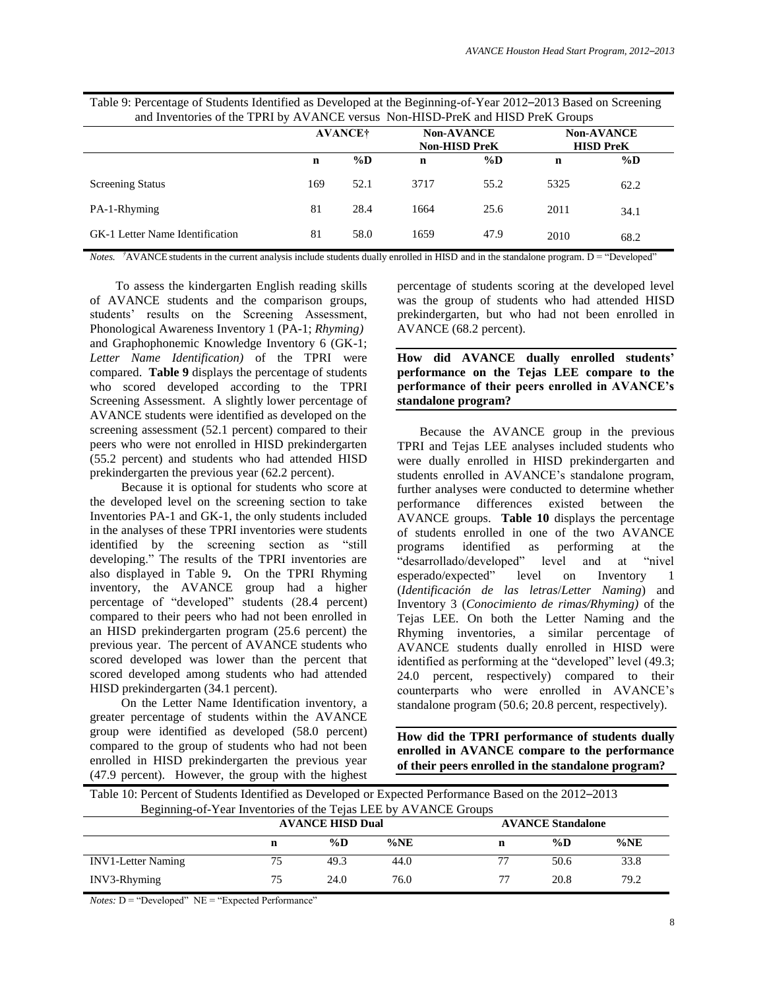| Table 9: Percentage of Students Identified as Developed at the Beginning-of-Year 2012–2013 Based on Screening |
|---------------------------------------------------------------------------------------------------------------|
| and Inventories of the TPRI by AVANCE versus Non-HISD-PreK and HISD PreK Groups                               |

|                                        |     | <b>AVANCE†</b> |      | <b>Non-AVANCE</b><br><b>Non-HISD PreK</b> | <b>Non-AVANCE</b><br><b>HISD PreK</b> |       |  |
|----------------------------------------|-----|----------------|------|-------------------------------------------|---------------------------------------|-------|--|
|                                        | n   | $\%D$          | n    | $\%D$                                     | n                                     | $\%D$ |  |
| <b>Screening Status</b>                | 169 | 52.1           | 3717 | 55.2                                      | 5325                                  | 62.2  |  |
| PA-1-Rhyming                           | 81  | 28.4           | 1664 | 25.6                                      | 2011                                  | 34.1  |  |
| <b>GK-1 Letter Name Identification</b> | 81  | 58.0           | 1659 | 47.9                                      | 2010                                  | 68.2  |  |

*Notes.* <sup>†</sup>AVANCE students in the current analysis include students dually enrolled in HISD and in the standalone program. D = "Developed"

To assess the kindergarten English reading skills of AVANCE students and the comparison groups, students' results on the Screening Assessment, Phonological Awareness Inventory 1 (PA-1; *Rhyming)* and Graphophonemic Knowledge Inventory 6 (GK-1; *Letter Name Identification)* of the TPRI were compared. **Table 9** displays the percentage of students who scored developed according to the TPRI Screening Assessment. A slightly lower percentage of AVANCE students were identified as developed on the screening assessment (52.1 percent) compared to their peers who were not enrolled in HISD prekindergarten (55.2 percent) and students who had attended HISD prekindergarten the previous year (62.2 percent).

Because it is optional for students who score at the developed level on the screening section to take Inventories PA-1 and GK-1, the only students included in the analyses of these TPRI inventories were students identified by the screening section as "still developing." The results of the TPRI inventories are also displayed in Table 9**.** On the TPRI Rhyming inventory, the AVANCE group had a higher percentage of "developed" students (28.4 percent) compared to their peers who had not been enrolled in an HISD prekindergarten program (25.6 percent) the previous year. The percent of AVANCE students who scored developed was lower than the percent that scored developed among students who had attended HISD prekindergarten (34.1 percent).

On the Letter Name Identification inventory, a greater percentage of students within the AVANCE group were identified as developed (58.0 percent) compared to the group of students who had not been enrolled in HISD prekindergarten the previous year (47.9 percent). However, the group with the highest percentage of students scoring at the developed level was the group of students who had attended HISD prekindergarten, but who had not been enrolled in AVANCE (68.2 percent).

**How did AVANCE dually enrolled students' performance on the Tejas LEE compare to the performance of their peers enrolled in AVANCE's standalone program?**

Because the AVANCE group in the previous TPRI and Tejas LEE analyses included students who were dually enrolled in HISD prekindergarten and students enrolled in AVANCE's standalone program, further analyses were conducted to determine whether performance differences existed between the AVANCE groups. **Table 10** displays the percentage of students enrolled in one of the two AVANCE programs identified as performing at the "desarrollado/developed" level and at "nivel esperado/expected" level on Inventory 1 (*Identificación de las letras*/*Letter Naming*) and Inventory 3 (*Conocimiento de rimas/Rhyming)* of the Tejas LEE. On both the Letter Naming and the Rhyming inventories, a similar percentage of AVANCE students dually enrolled in HISD were identified as performing at the "developed" level (49.3; 24.0 percent, respectively) compared to their counterparts who were enrolled in AVANCE's standalone program (50.6; 20.8 percent, respectively).

**How did the TPRI performance of students dually enrolled in AVANCE compare to the performance of their peers enrolled in the standalone program?**

| Table 10: Percent of Students Identified as Developed or Expected Performance Based on the 2012–2013 |    |                         |         |                          |      |      |  |  |  |
|------------------------------------------------------------------------------------------------------|----|-------------------------|---------|--------------------------|------|------|--|--|--|
| Beginning-of-Year Inventories of the Tejas LEE by AVANCE Groups                                      |    |                         |         |                          |      |      |  |  |  |
|                                                                                                      |    | <b>AVANCE HISD Dual</b> |         | <b>AVANCE Standalone</b> |      |      |  |  |  |
|                                                                                                      | n  | %D                      | $\%$ NE | n                        | %D   | %NE  |  |  |  |
| <b>INV1-Letter Naming</b>                                                                            | 75 | 49.3                    | 44.0    | 77                       | 50.6 | 33.8 |  |  |  |
| INV3-Rhyming                                                                                         | 75 | 24.0                    | 76.0    | 77                       | 20.8 | 79.2 |  |  |  |

*Notes:* D = "Developed" NE = "Expected Performance"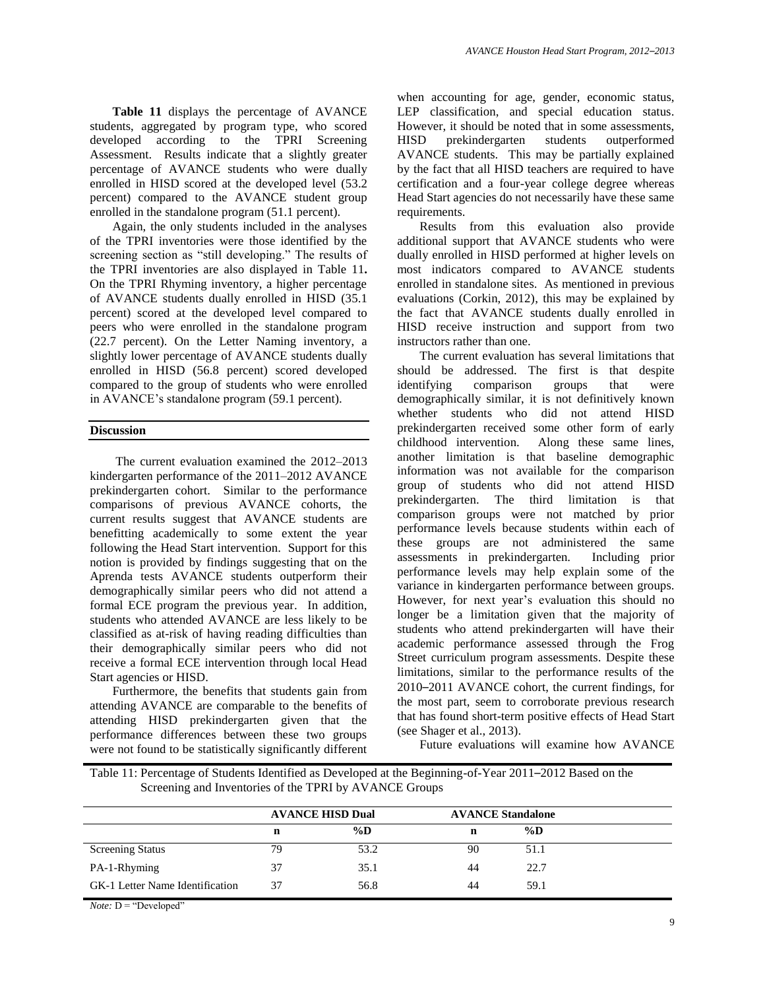**Table 11** displays the percentage of AVANCE students, aggregated by program type, who scored developed according to the TPRI Screening Assessment. Results indicate that a slightly greater percentage of AVANCE students who were dually enrolled in HISD scored at the developed level (53.2 percent) compared to the AVANCE student group enrolled in the standalone program (51.1 percent).

Again, the only students included in the analyses of the TPRI inventories were those identified by the screening section as "still developing." The results of the TPRI inventories are also displayed in Table 11**.** On the TPRI Rhyming inventory, a higher percentage of AVANCE students dually enrolled in HISD (35.1 percent) scored at the developed level compared to peers who were enrolled in the standalone program (22.7 percent). On the Letter Naming inventory, a slightly lower percentage of AVANCE students dually enrolled in HISD (56.8 percent) scored developed compared to the group of students who were enrolled in AVANCE's standalone program (59.1 percent).

#### **Discussion**

The current evaluation examined the 2012–2013 kindergarten performance of the 2011–2012 AVANCE prekindergarten cohort. Similar to the performance comparisons of previous AVANCE cohorts, the current results suggest that AVANCE students are benefitting academically to some extent the year following the Head Start intervention. Support for this notion is provided by findings suggesting that on the Aprenda tests AVANCE students outperform their demographically similar peers who did not attend a formal ECE program the previous year. In addition, students who attended AVANCE are less likely to be classified as at-risk of having reading difficulties than their demographically similar peers who did not receive a formal ECE intervention through local Head Start agencies or HISD.

Furthermore, the benefits that students gain from attending AVANCE are comparable to the benefits of attending HISD prekindergarten given that the performance differences between these two groups were not found to be statistically significantly different

when accounting for age, gender, economic status, LEP classification, and special education status. However, it should be noted that in some assessments, HISD prekindergarten students outperformed AVANCE students. This may be partially explained by the fact that all HISD teachers are required to have certification and a four-year college degree whereas Head Start agencies do not necessarily have these same requirements.

Results from this evaluation also provide additional support that AVANCE students who were dually enrolled in HISD performed at higher levels on most indicators compared to AVANCE students enrolled in standalone sites. As mentioned in previous evaluations (Corkin, 2012), this may be explained by the fact that AVANCE students dually enrolled in HISD receive instruction and support from two instructors rather than one.

The current evaluation has several limitations that should be addressed. The first is that despite identifying comparison groups that were demographically similar, it is not definitively known whether students who did not attend HISD prekindergarten received some other form of early childhood intervention. Along these same lines, another limitation is that baseline demographic information was not available for the comparison group of students who did not attend HISD prekindergarten. The third limitation is that comparison groups were not matched by prior performance levels because students within each of these groups are not administered the same assessments in prekindergarten. Including prior performance levels may help explain some of the variance in kindergarten performance between groups. However, for next year's evaluation this should no longer be a limitation given that the majority of students who attend prekindergarten will have their academic performance assessed through the Frog Street curriculum program assessments. Despite these limitations, similar to the performance results of the 2010–2011 AVANCE cohort, the current findings, for the most part, seem to corroborate previous research that has found short-term positive effects of Head Start (see Shager et al., 2013).

Future evaluations will examine how AVANCE

Table 11: Percentage of Students Identified as Developed at the Beginning-of-Year 2011–2012 Based on the Screening and Inventories of the TPRI by AVANCE Groups

|                                 |    | <b>AVANCE HISD Dual</b> | <b>AVANCE Standalone</b> |       |  |
|---------------------------------|----|-------------------------|--------------------------|-------|--|
|                                 | n  | $\%D$                   | n                        | $\%D$ |  |
| <b>Screening Status</b>         | 79 | 53.2                    | 90                       | 51.1  |  |
| PA-1-Rhyming                    | 37 | 35.1                    | 44                       | 22.7  |  |
| GK-1 Letter Name Identification | 37 | 56.8                    | 44                       | 59.1  |  |

*Note:* D = "Developed"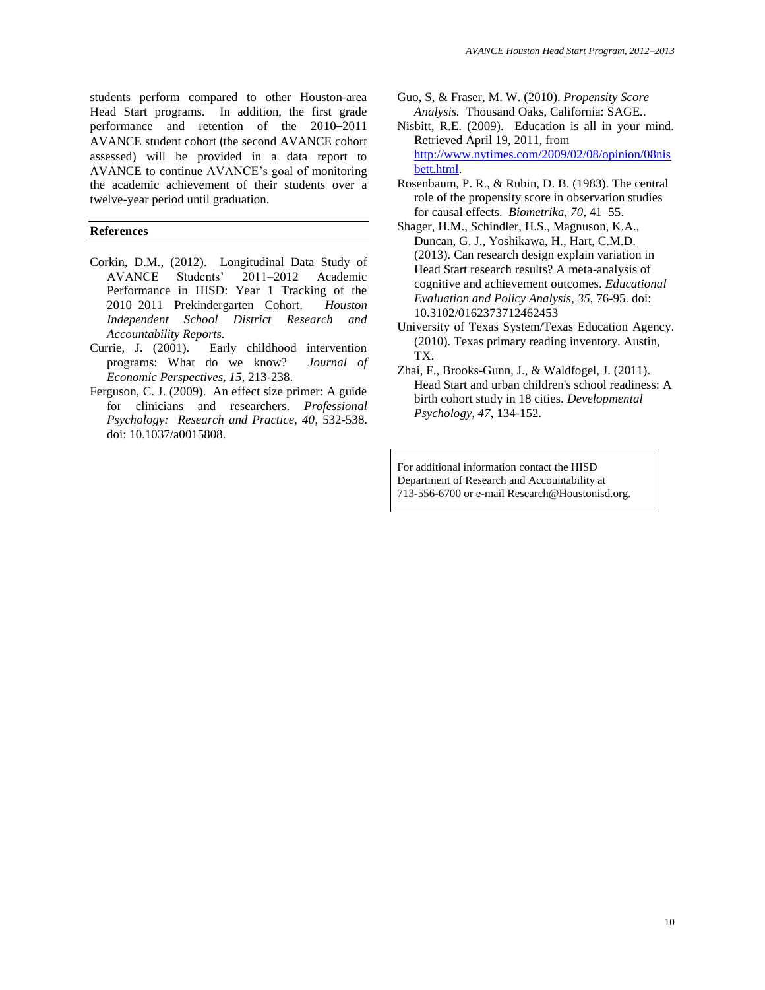students perform compared to other Houston-area Head Start programs. In addition, the first grade performance and retention of the 2010–2011 AVANCE student cohort (the second AVANCE cohort assessed) will be provided in a data report to AVANCE to continue AVANCE's goal of monitoring the academic achievement of their students over a twelve-year period until graduation.

### **References**

- Corkin, D.M., (2012). Longitudinal Data Study of AVANCE Students' 2011–2012 Academic Performance in HISD: Year 1 Tracking of the 2010–2011 Prekindergarten Cohort. *Houston Independent School District Research and Accountability Reports.*
- Currie, J. (2001). Early childhood intervention programs: What do we know? *Journal of Economic Perspectives, 15*, 213-238.
- Ferguson, C. J. (2009). An effect size primer: A guide for clinicians and researchers. *Professional Psychology: Research and Practice, 40*, 532-538. doi: 10.1037/a0015808.
- Guo, S, & Fraser, M. W. (2010). *Propensity Score Analysis.* Thousand Oaks, California: SAGE*.*.
- Nisbitt, R.E. (2009). Education is all in your mind. Retrieved April 19, 2011, from [http://www.nytimes.com/2009/02/08/opinion/08nis](http://www.nytimes.com/2009/02/08/opinion/08nisbett.html) [bett.html.](http://www.nytimes.com/2009/02/08/opinion/08nisbett.html)
- Rosenbaum, P. R., & Rubin, D. B. (1983). The central role of the propensity score in observation studies for causal effects. *Biometrika, 70*, 41–55.
- Shager, H.M., Schindler, H.S., Magnuson, K.A., Duncan, G. J., Yoshikawa, H., Hart, C.M.D. (2013). Can research design explain variation in Head Start research results? A meta-analysis of cognitive and achievement outcomes. *Educational Evaluation and Policy Analysis*, *35*, 76-95. doi: 10.3102/0162373712462453
- University of Texas System/Texas Education Agency. (2010). Texas primary reading inventory. Austin, TX.
- Zhai, F., Brooks-Gunn, J., & Waldfogel, J. (2011). Head Start and urban children's school readiness: A birth cohort study in 18 cities. *Developmental Psychology, 47*, 134-152.

For additional information contact the HISD Department of Research and Accountability at 713-556-6700 or e-mail Research@Houstonisd.org.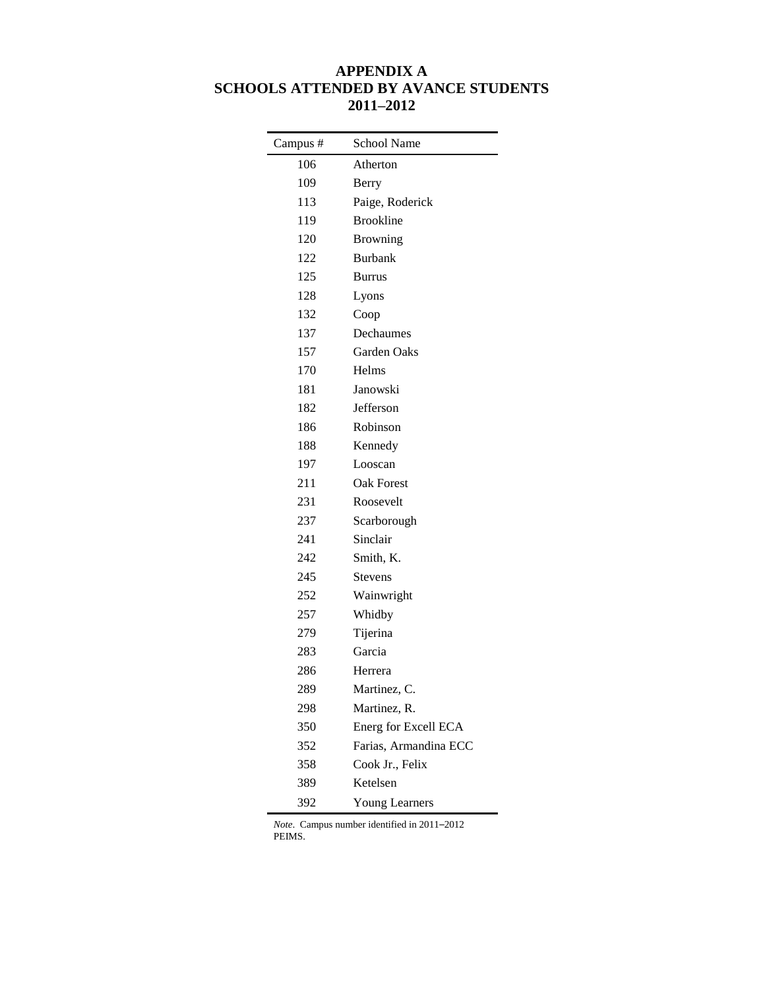## **APPENDIX A SCHOOLS ATTENDED BY AVANCE STUDENTS 2011–2012**

| Campus# | School Name           |
|---------|-----------------------|
| 106     | Atherton              |
| 109     | Berry                 |
| 113     | Paige, Roderick       |
| 119     | <b>Brookline</b>      |
| 120     | <b>Browning</b>       |
| 122     | <b>Burbank</b>        |
| 125     | <b>Burrus</b>         |
| 128     | Lyons                 |
| 132     | Coop                  |
| 137     | Dechaumes             |
| 157     | Garden Oaks           |
| 170     | Helms                 |
| 181     | Janowski              |
| 182     | Jefferson             |
| 186     | Robinson              |
| 188     | Kennedy               |
| 197     | Looscan               |
| 211     | <b>Oak Forest</b>     |
| 231     | Roosevelt             |
| 237     | Scarborough           |
| 241     | Sinclair              |
| 242     | Smith, K.             |
| 245     | Stevens               |
| 252     | Wainwright            |
| 257     | Whidby                |
| 279     | Tijerina              |
| 283     | Garcia                |
| 286     | Herrera               |
| 289     | Martinez, C.          |
| 298     | Martinez, R.          |
| 350     | Energ for Excell ECA  |
| 352     | Farias, Armandina ECC |
| 358     | Cook Jr., Felix       |
| 389     | Ketelsen              |
| 392     | Young Learners        |

*Note*. Campus number identified in 2011–2012 PEIMS.